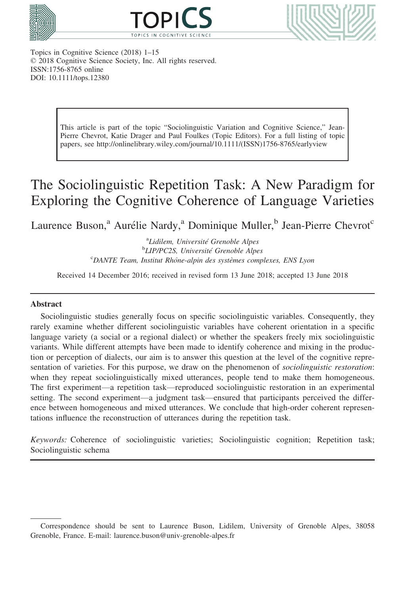





Topics in Cognitive Science (2018) 1–15 © 2018 Cognitive Science Society, Inc. All rights reserved. ISSN:1756-8765 online DOI: 10.1111/tops.12380

> This article is part of the topic "Sociolinguistic Variation and Cognitive Science," Jean-Pierre Chevrot, Katie Drager and Paul Foulkes (Topic Editors). For a full listing of topic papers, see http://onlinelibrary.wiley.com/journal/10.1111/(ISSN)1756-8765/earlyview

# The Sociolinguistic Repetition Task: A New Paradigm for Exploring the Cognitive Coherence of Language Varieties

Laurence Buson,<sup>a</sup> Aurélie Nardy,<sup>a</sup> Dominique Muller,<sup>b</sup> Jean-Pierre Chevrot<sup>c</sup>

<sup>a</sup>Lidilem, Université Grenoble Alpes  $b$ LIP/PC2S, Université Grenoble Alpes  ${}^c$ DANTE Team, Institut Rhône-alpin des systèmes complexes, ENS Lyon

Received 14 December 2016; received in revised form 13 June 2018; accepted 13 June 2018

## Abstract

Sociolinguistic studies generally focus on specific sociolinguistic variables. Consequently, they rarely examine whether different sociolinguistic variables have coherent orientation in a specific language variety (a social or a regional dialect) or whether the speakers freely mix sociolinguistic variants. While different attempts have been made to identify coherence and mixing in the production or perception of dialects, our aim is to answer this question at the level of the cognitive representation of varieties. For this purpose, we draw on the phenomenon of sociolinguistic restoration: when they repeat sociolinguistically mixed utterances, people tend to make them homogeneous. The first experiment—a repetition task—reproduced sociolinguistic restoration in an experimental setting. The second experiment—a judgment task—ensured that participants perceived the difference between homogeneous and mixed utterances. We conclude that high-order coherent representations influence the reconstruction of utterances during the repetition task.

Keywords: Coherence of sociolinguistic varieties; Sociolinguistic cognition; Repetition task; Sociolinguistic schema

Correspondence should be sent to Laurence Buson, Lidilem, University of Grenoble Alpes, 38058 Grenoble, France. E-mail: [laurence.buson@univ-grenoble-alpes.fr](mailto:)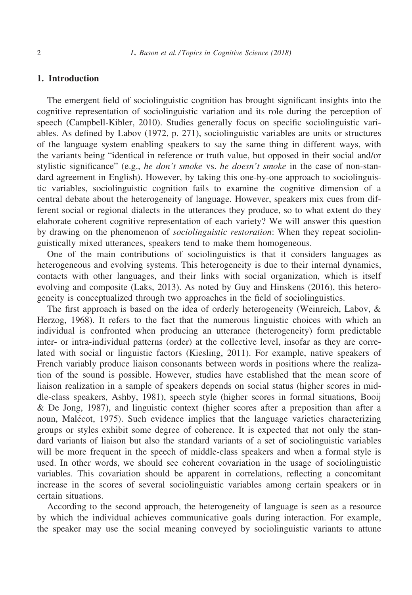### 1. Introduction

The emergent field of sociolinguistic cognition has brought significant insights into the cognitive representation of sociolinguistic variation and its role during the perception of speech (Campbell-Kibler, 2010). Studies generally focus on specific sociolinguistic variables. As defined by Labov (1972, p. 271), sociolinguistic variables are units or structures of the language system enabling speakers to say the same thing in different ways, with the variants being "identical in reference or truth value, but opposed in their social and/or stylistic significance" (e.g., he don't smoke vs. he doesn't smoke in the case of non-standard agreement in English). However, by taking this one-by-one approach to sociolinguistic variables, sociolinguistic cognition fails to examine the cognitive dimension of a central debate about the heterogeneity of language. However, speakers mix cues from different social or regional dialects in the utterances they produce, so to what extent do they elaborate coherent cognitive representation of each variety? We will answer this question by drawing on the phenomenon of *sociolinguistic restoration*: When they repeat sociolinguistically mixed utterances, speakers tend to make them homogeneous.

One of the main contributions of sociolinguistics is that it considers languages as heterogeneous and evolving systems. This heterogeneity is due to their internal dynamics, contacts with other languages, and their links with social organization, which is itself evolving and composite (Laks, 2013). As noted by Guy and Hinskens (2016), this heterogeneity is conceptualized through two approaches in the field of sociolinguistics.

The first approach is based on the idea of orderly heterogeneity (Weinreich, Labov, & Herzog, 1968). It refers to the fact that the numerous linguistic choices with which an individual is confronted when producing an utterance (heterogeneity) form predictable inter- or intra-individual patterns (order) at the collective level, insofar as they are correlated with social or linguistic factors (Kiesling, 2011). For example, native speakers of French variably produce liaison consonants between words in positions where the realization of the sound is possible. However, studies have established that the mean score of liaison realization in a sample of speakers depends on social status (higher scores in middle-class speakers, Ashby, 1981), speech style (higher scores in formal situations, Booij & De Jong, 1987), and linguistic context (higher scores after a preposition than after a noun, Malecot, 1975). Such evidence implies that the language varieties characterizing groups or styles exhibit some degree of coherence. It is expected that not only the standard variants of liaison but also the standard variants of a set of sociolinguistic variables will be more frequent in the speech of middle-class speakers and when a formal style is used. In other words, we should see coherent covariation in the usage of sociolinguistic variables. This covariation should be apparent in correlations, reflecting a concomitant increase in the scores of several sociolinguistic variables among certain speakers or in certain situations.

According to the second approach, the heterogeneity of language is seen as a resource by which the individual achieves communicative goals during interaction. For example, the speaker may use the social meaning conveyed by sociolinguistic variants to attune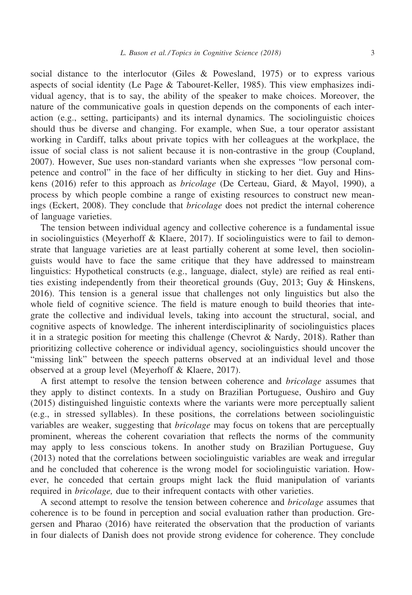social distance to the interlocutor (Giles  $\&$  Powesland, 1975) or to express various aspects of social identity (Le Page & Tabouret-Keller, 1985). This view emphasizes individual agency, that is to say, the ability of the speaker to make choices. Moreover, the nature of the communicative goals in question depends on the components of each interaction (e.g., setting, participants) and its internal dynamics. The sociolinguistic choices should thus be diverse and changing. For example, when Sue, a tour operator assistant working in Cardiff, talks about private topics with her colleagues at the workplace, the issue of social class is not salient because it is non-contrastive in the group (Coupland, 2007). However, Sue uses non-standard variants when she expresses "low personal competence and control" in the face of her difficulty in sticking to her diet. Guy and Hinskens (2016) refer to this approach as bricolage (De Certeau, Giard, & Mayol, 1990), a process by which people combine a range of existing resources to construct new meanings (Eckert, 2008). They conclude that bricolage does not predict the internal coherence of language varieties.

The tension between individual agency and collective coherence is a fundamental issue in sociolinguistics (Meyerhoff  $\&$  Klaere, 2017). If sociolinguistics were to fail to demonstrate that language varieties are at least partially coherent at some level, then sociolinguists would have to face the same critique that they have addressed to mainstream linguistics: Hypothetical constructs (e.g., language, dialect, style) are reified as real entities existing independently from their theoretical grounds (Guy, 2013; Guy & Hinskens, 2016). This tension is a general issue that challenges not only linguistics but also the whole field of cognitive science. The field is mature enough to build theories that integrate the collective and individual levels, taking into account the structural, social, and cognitive aspects of knowledge. The inherent interdisciplinarity of sociolinguistics places it in a strategic position for meeting this challenge (Chevrot & Nardy, 2018). Rather than prioritizing collective coherence or individual agency, sociolinguistics should uncover the "missing link" between the speech patterns observed at an individual level and those observed at a group level (Meyerhoff & Klaere, 2017).

A first attempt to resolve the tension between coherence and bricolage assumes that they apply to distinct contexts. In a study on Brazilian Portuguese, Oushiro and Guy (2015) distinguished linguistic contexts where the variants were more perceptually salient (e.g., in stressed syllables). In these positions, the correlations between sociolinguistic variables are weaker, suggesting that bricolage may focus on tokens that are perceptually prominent, whereas the coherent covariation that reflects the norms of the community may apply to less conscious tokens. In another study on Brazilian Portuguese, Guy (2013) noted that the correlations between sociolinguistic variables are weak and irregular and he concluded that coherence is the wrong model for sociolinguistic variation. However, he conceded that certain groups might lack the fluid manipulation of variants required in bricolage, due to their infrequent contacts with other varieties.

A second attempt to resolve the tension between coherence and bricolage assumes that coherence is to be found in perception and social evaluation rather than production. Gregersen and Pharao (2016) have reiterated the observation that the production of variants in four dialects of Danish does not provide strong evidence for coherence. They conclude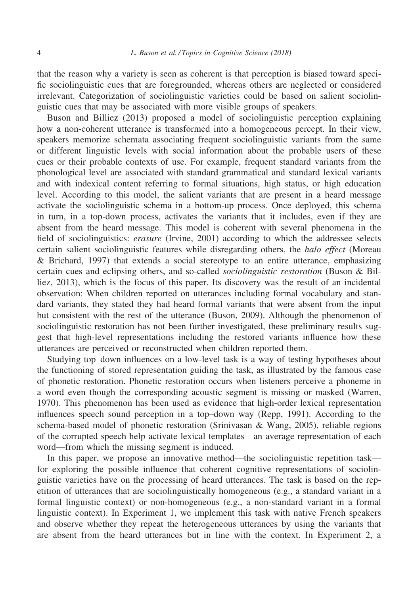that the reason why a variety is seen as coherent is that perception is biased toward specific sociolinguistic cues that are foregrounded, whereas others are neglected or considered irrelevant. Categorization of sociolinguistic varieties could be based on salient sociolinguistic cues that may be associated with more visible groups of speakers.

Buson and Billiez (2013) proposed a model of sociolinguistic perception explaining how a non-coherent utterance is transformed into a homogeneous percept. In their view, speakers memorize schemata associating frequent sociolinguistic variants from the same or different linguistic levels with social information about the probable users of these cues or their probable contexts of use. For example, frequent standard variants from the phonological level are associated with standard grammatical and standard lexical variants and with indexical content referring to formal situations, high status, or high education level. According to this model, the salient variants that are present in a heard message activate the sociolinguistic schema in a bottom-up process. Once deployed, this schema in turn, in a top-down process, activates the variants that it includes, even if they are absent from the heard message. This model is coherent with several phenomena in the field of sociolinguistics: erasure (Irvine, 2001) according to which the addressee selects certain salient sociolinguistic features while disregarding others, the *halo effect* (Moreau & Brichard, 1997) that extends a social stereotype to an entire utterance, emphasizing certain cues and eclipsing others, and so-called sociolinguistic restoration (Buson & Billiez, 2013), which is the focus of this paper. Its discovery was the result of an incidental observation: When children reported on utterances including formal vocabulary and standard variants, they stated they had heard formal variants that were absent from the input but consistent with the rest of the utterance (Buson, 2009). Although the phenomenon of sociolinguistic restoration has not been further investigated, these preliminary results suggest that high-level representations including the restored variants influence how these utterances are perceived or reconstructed when children reported them.

Studying top–down influences on a low-level task is a way of testing hypotheses about the functioning of stored representation guiding the task, as illustrated by the famous case of phonetic restoration. Phonetic restoration occurs when listeners perceive a phoneme in a word even though the corresponding acoustic segment is missing or masked (Warren, 1970). This phenomenon has been used as evidence that high-order lexical representation influences speech sound perception in a top–down way (Repp, 1991). According to the schema-based model of phonetic restoration (Srinivasan & Wang, 2005), reliable regions of the corrupted speech help activate lexical templates—an average representation of each word—from which the missing segment is induced.

In this paper, we propose an innovative method—the sociolinguistic repetition task for exploring the possible influence that coherent cognitive representations of sociolinguistic varieties have on the processing of heard utterances. The task is based on the repetition of utterances that are sociolinguistically homogeneous (e.g., a standard variant in a formal linguistic context) or non-homogeneous (e.g., a non-standard variant in a formal linguistic context). In Experiment 1, we implement this task with native French speakers and observe whether they repeat the heterogeneous utterances by using the variants that are absent from the heard utterances but in line with the context. In Experiment 2, a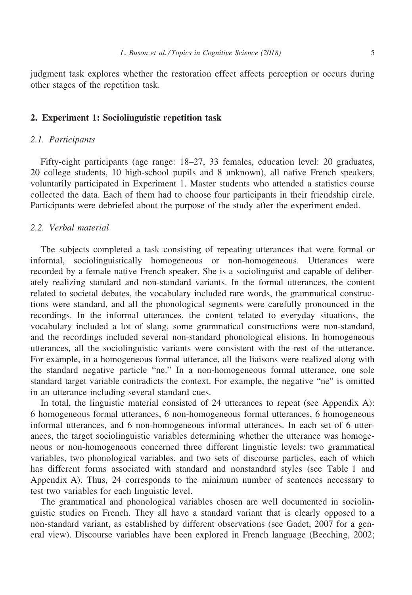judgment task explores whether the restoration effect affects perception or occurs during other stages of the repetition task.

## 2. Experiment 1: Sociolinguistic repetition task

#### 2.1. Participants

Fifty-eight participants (age range: 18–27, 33 females, education level: 20 graduates, 20 college students, 10 high-school pupils and 8 unknown), all native French speakers, voluntarily participated in Experiment 1. Master students who attended a statistics course collected the data. Each of them had to choose four participants in their friendship circle. Participants were debriefed about the purpose of the study after the experiment ended.

## 2.2. Verbal material

The subjects completed a task consisting of repeating utterances that were formal or informal, sociolinguistically homogeneous or non-homogeneous. Utterances were recorded by a female native French speaker. She is a sociolinguist and capable of deliberately realizing standard and non-standard variants. In the formal utterances, the content related to societal debates, the vocabulary included rare words, the grammatical constructions were standard, and all the phonological segments were carefully pronounced in the recordings. In the informal utterances, the content related to everyday situations, the vocabulary included a lot of slang, some grammatical constructions were non-standard, and the recordings included several non-standard phonological elisions. In homogeneous utterances, all the sociolinguistic variants were consistent with the rest of the utterance. For example, in a homogeneous formal utterance, all the liaisons were realized along with the standard negative particle "ne." In a non-homogeneous formal utterance, one sole standard target variable contradicts the context. For example, the negative "ne" is omitted in an utterance including several standard cues.

In total, the linguistic material consisted of  $24$  utterances to repeat (see Appendix A): 6 homogeneous formal utterances, 6 non-homogeneous formal utterances, 6 homogeneous informal utterances, and 6 non-homogeneous informal utterances. In each set of 6 utterances, the target sociolinguistic variables determining whether the utterance was homogeneous or non-homogeneous concerned three different linguistic levels: two grammatical variables, two phonological variables, and two sets of discourse particles, each of which has different forms associated with standard and nonstandard styles (see Table 1 and Appendix A). Thus, 24 corresponds to the minimum number of sentences necessary to test two variables for each linguistic level.

The grammatical and phonological variables chosen are well documented in sociolinguistic studies on French. They all have a standard variant that is clearly opposed to a non-standard variant, as established by different observations (see Gadet, 2007 for a general view). Discourse variables have been explored in French language (Beeching, 2002;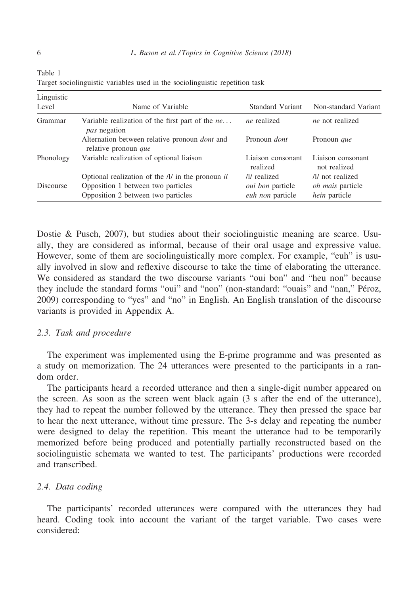| Linguistic<br>Level | Name of Variable                                                             | Standard Variant              | Non-standard Variant              |
|---------------------|------------------------------------------------------------------------------|-------------------------------|-----------------------------------|
| Grammar             | Variable realization of the first part of the $ne$<br><i>pas</i> negation    | <i>ne</i> realized            | <i>ne</i> not realized            |
|                     | Alternation between relative pronoun <i>dont</i> and<br>relative pronoun que | Pronoun <i>dont</i>           | Pronoun <i>que</i>                |
| Phonology           | Variable realization of optional liaison                                     | Liaison consonant<br>realized | Liaison consonant<br>not realized |
|                     | Optional realization of the /l/ in the pronoun <i>il</i>                     | /l/ realized                  | /l/ not realized                  |
| Discourse           | Opposition 1 between two particles                                           | <i>oui bon</i> particle       | <i>oh mais</i> particle           |
|                     | Opposition 2 between two particles                                           | euh non particle              | hein particle                     |

Table 1 Target sociolinguistic variables used in the sociolinguistic repetition task

Dostie & Pusch, 2007), but studies about their sociolinguistic meaning are scarce. Usually, they are considered as informal, because of their oral usage and expressive value. However, some of them are sociolinguistically more complex. For example, "euh" is usually involved in slow and reflexive discourse to take the time of elaborating the utterance. We considered as standard the two discourse variants "oui bon" and "heu non" because they include the standard forms "oui" and "non" (non-standard: "ouais" and "nan," Peroz, 2009) corresponding to "yes" and "no" in English. An English translation of the discourse variants is provided in Appendix A.

### 2.3. Task and procedure

The experiment was implemented using the E-prime programme and was presented as a study on memorization. The 24 utterances were presented to the participants in a random order.

The participants heard a recorded utterance and then a single-digit number appeared on the screen. As soon as the screen went black again (3 s after the end of the utterance), they had to repeat the number followed by the utterance. They then pressed the space bar to hear the next utterance, without time pressure. The 3-s delay and repeating the number were designed to delay the repetition. This meant the utterance had to be temporarily memorized before being produced and potentially partially reconstructed based on the sociolinguistic schemata we wanted to test. The participants' productions were recorded and transcribed.

#### 2.4. Data coding

The participants' recorded utterances were compared with the utterances they had heard. Coding took into account the variant of the target variable. Two cases were considered: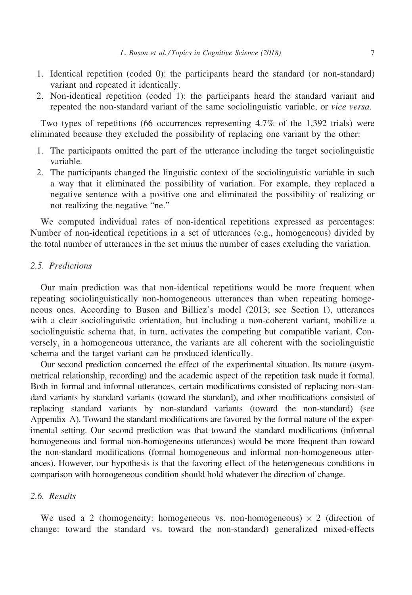- 1. Identical repetition (coded 0): the participants heard the standard (or non-standard) variant and repeated it identically.
- 2. Non-identical repetition (coded 1): the participants heard the standard variant and repeated the non-standard variant of the same sociolinguistic variable, or vice versa.

Two types of repetitions (66 occurrences representing 4.7% of the 1,392 trials) were eliminated because they excluded the possibility of replacing one variant by the other:

- 1. The participants omitted the part of the utterance including the target sociolinguistic variable.
- 2. The participants changed the linguistic context of the sociolinguistic variable in such a way that it eliminated the possibility of variation. For example, they replaced a negative sentence with a positive one and eliminated the possibility of realizing or not realizing the negative "ne."

We computed individual rates of non-identical repetitions expressed as percentages: Number of non-identical repetitions in a set of utterances (e.g., homogeneous) divided by the total number of utterances in the set minus the number of cases excluding the variation.

# 2.5. Predictions

Our main prediction was that non-identical repetitions would be more frequent when repeating sociolinguistically non-homogeneous utterances than when repeating homogeneous ones. According to Buson and Billiez's model (2013; see Section 1), utterances with a clear sociolinguistic orientation, but including a non-coherent variant, mobilize a sociolinguistic schema that, in turn, activates the competing but compatible variant. Conversely, in a homogeneous utterance, the variants are all coherent with the sociolinguistic schema and the target variant can be produced identically.

Our second prediction concerned the effect of the experimental situation. Its nature (asymmetrical relationship, recording) and the academic aspect of the repetition task made it formal. Both in formal and informal utterances, certain modifications consisted of replacing non-standard variants by standard variants (toward the standard), and other modifications consisted of replacing standard variants by non-standard variants (toward the non-standard) (see Appendix A). Toward the standard modifications are favored by the formal nature of the experimental setting. Our second prediction was that toward the standard modifications (informal homogeneous and formal non-homogeneous utterances) would be more frequent than toward the non-standard modifications (formal homogeneous and informal non-homogeneous utterances). However, our hypothesis is that the favoring effect of the heterogeneous conditions in comparison with homogeneous condition should hold whatever the direction of change.

# 2.6 Results

We used a 2 (homogeneity: homogeneous vs. non-homogeneous)  $\times$  2 (direction of change: toward the standard vs. toward the non-standard) generalized mixed-effects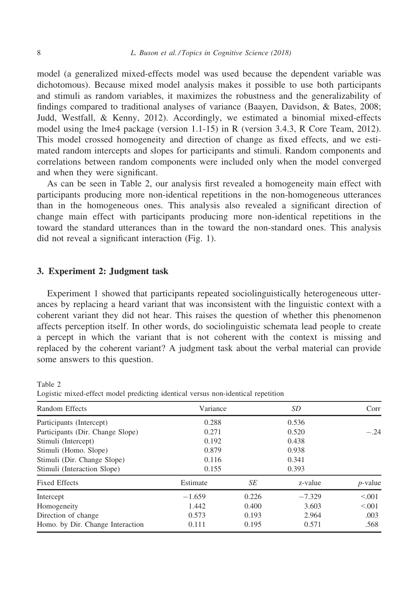model (a generalized mixed-effects model was used because the dependent variable was dichotomous). Because mixed model analysis makes it possible to use both participants and stimuli as random variables, it maximizes the robustness and the generalizability of findings compared to traditional analyses of variance (Baayen, Davidson, & Bates, 2008; Judd, Westfall, & Kenny, 2012). Accordingly, we estimated a binomial mixed-effects model using the lme4 package (version 1.1-15) in R (version 3.4.3, R Core Team, 2012). This model crossed homogeneity and direction of change as fixed effects, and we estimated random intercepts and slopes for participants and stimuli. Random components and correlations between random components were included only when the model converged and when they were significant.

As can be seen in Table 2, our analysis first revealed a homogeneity main effect with participants producing more non-identical repetitions in the non-homogeneous utterances than in the homogeneous ones. This analysis also revealed a significant direction of change main effect with participants producing more non-identical repetitions in the toward the standard utterances than in the toward the non-standard ones. This analysis did not reveal a significant interaction (Fig. 1).

## 3. Experiment 2: Judgment task

Experiment 1 showed that participants repeated sociolinguistically heterogeneous utterances by replacing a heard variant that was inconsistent with the linguistic context with a coherent variant they did not hear. This raises the question of whether this phenomenon affects perception itself. In other words, do sociolinguistic schemata lead people to create a percept in which the variant that is not coherent with the context is missing and replaced by the coherent variant? A judgment task about the verbal material can provide some answers to this question.

| Random Effects                   | Variance |       | SD       | Corr       |
|----------------------------------|----------|-------|----------|------------|
| Participants (Intercept)         | 0.288    |       | 0.536    |            |
| Participants (Dir. Change Slope) | 0.271    |       | 0.520    | $-.24$     |
| Stimuli (Intercept)              | 0.192    |       | 0.438    |            |
| Stimuli (Homo, Slope)            | 0.879    |       | 0.938    |            |
| Stimuli (Dir. Change Slope)      | 0.116    |       | 0.341    |            |
| Stimuli (Interaction Slope)      | 0.155    |       | 0.393    |            |
| <b>Fixed Effects</b>             | Estimate | SЕ    | z-value  | $p$ -value |
| Intercept                        | $-1.659$ | 0.226 | $-7.329$ | < 0.001    |
| Homogeneity                      | 1.442    | 0.400 | 3.603    | < 0.001    |
| Direction of change              | 0.573    | 0.193 | 2.964    | .003       |
| Homo, by Dir. Change Interaction | 0.111    | 0.195 | 0.571    | .568       |

Table 2

Logistic mixed-effect model predicting identical versus non-identical repetition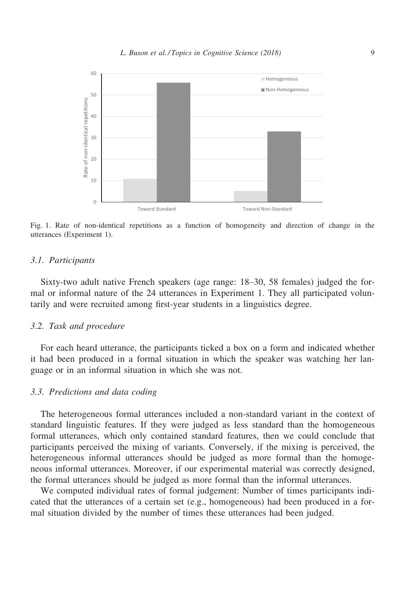

Fig. 1. Rate of non-identical repetitions as a function of homogeneity and direction of change in the utterances (Experiment 1).

#### 3.1. Participants

Sixty-two adult native French speakers (age range: 18–30, 58 females) judged the formal or informal nature of the 24 utterances in Experiment 1. They all participated voluntarily and were recruited among first-year students in a linguistics degree.

## 3.2. Task and procedure

For each heard utterance, the participants ticked a box on a form and indicated whether it had been produced in a formal situation in which the speaker was watching her language or in an informal situation in which she was not.

## 3.3. Predictions and data coding

The heterogeneous formal utterances included a non-standard variant in the context of standard linguistic features. If they were judged as less standard than the homogeneous formal utterances, which only contained standard features, then we could conclude that participants perceived the mixing of variants. Conversely, if the mixing is perceived, the heterogeneous informal utterances should be judged as more formal than the homogeneous informal utterances. Moreover, if our experimental material was correctly designed, the formal utterances should be judged as more formal than the informal utterances.

We computed individual rates of formal judgement: Number of times participants indicated that the utterances of a certain set (e.g., homogeneous) had been produced in a formal situation divided by the number of times these utterances had been judged.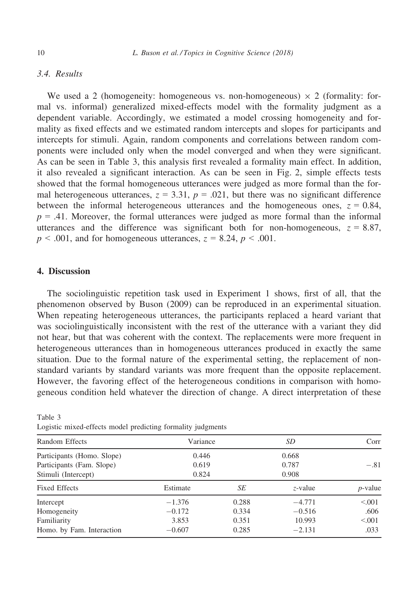# 3.4. Results

We used a 2 (homogeneity: homogeneous vs. non-homogeneous)  $\times$  2 (formality: formal vs. informal) generalized mixed-effects model with the formality judgment as a dependent variable. Accordingly, we estimated a model crossing homogeneity and formality as fixed effects and we estimated random intercepts and slopes for participants and intercepts for stimuli. Again, random components and correlations between random components were included only when the model converged and when they were significant. As can be seen in Table 3, this analysis first revealed a formality main effect. In addition, it also revealed a significant interaction. As can be seen in Fig. 2, simple effects tests showed that the formal homogeneous utterances were judged as more formal than the formal heterogeneous utterances,  $z = 3.31$ ,  $p = .021$ , but there was no significant difference between the informal heterogeneous utterances and the homogeneous ones,  $z = 0.84$ ,  $p = .41$ . Moreover, the formal utterances were judged as more formal than the informal utterances and the difference was significant both for non-homogeneous,  $z = 8.87$ ,  $p < .001$ , and for homogeneous utterances,  $z = 8.24$ ,  $p < .001$ .

## 4. Discussion

The sociolinguistic repetition task used in Experiment 1 shows, first of all, that the phenomenon observed by Buson (2009) can be reproduced in an experimental situation. When repeating heterogeneous utterances, the participants replaced a heard variant that was sociolinguistically inconsistent with the rest of the utterance with a variant they did not hear, but that was coherent with the context. The replacements were more frequent in heterogeneous utterances than in homogeneous utterances produced in exactly the same situation. Due to the formal nature of the experimental setting, the replacement of nonstandard variants by standard variants was more frequent than the opposite replacement. However, the favoring effect of the heterogeneous conditions in comparison with homogeneous condition held whatever the direction of change. A direct interpretation of these

| Random Effects                                                                 | Variance<br>0.446<br>0.619<br>0.824       |                                  | SD                                         | Corr<br>$-.81$                     |
|--------------------------------------------------------------------------------|-------------------------------------------|----------------------------------|--------------------------------------------|------------------------------------|
| Participants (Homo, Slope)<br>Participants (Fam. Slope)<br>Stimuli (Intercept) |                                           |                                  | 0.668<br>0.787<br>0.908                    |                                    |
| <b>Fixed Effects</b>                                                           | Estimate                                  | SE                               | $z$ -value                                 | $p$ -value                         |
| Intercept<br>Homogeneity<br>Familiarity<br>Homo, by Fam. Interaction           | $-1.376$<br>$-0.172$<br>3.853<br>$-0.607$ | 0.288<br>0.334<br>0.351<br>0.285 | $-4.771$<br>$-0.516$<br>10.993<br>$-2.131$ | < 0.001<br>.606<br>< 0.001<br>.033 |

Table 3 Logistic mixed-effects model predicting formality judgments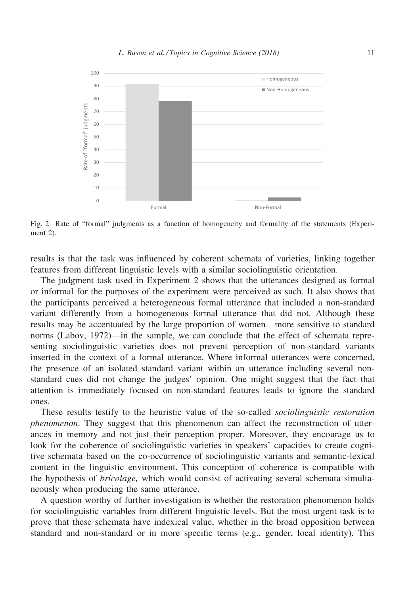

Fig. 2. Rate of "formal" judgments as a function of homogeneity and formality of the statements (Experiment 2).

results is that the task was influenced by coherent schemata of varieties, linking together features from different linguistic levels with a similar sociolinguistic orientation.

The judgment task used in Experiment 2 shows that the utterances designed as formal or informal for the purposes of the experiment were perceived as such. It also shows that the participants perceived a heterogeneous formal utterance that included a non-standard variant differently from a homogeneous formal utterance that did not. Although these results may be accentuated by the large proportion of women—more sensitive to standard norms (Labov, 1972)—in the sample, we can conclude that the effect of schemata representing sociolinguistic varieties does not prevent perception of non-standard variants inserted in the context of a formal utterance. Where informal utterances were concerned, the presence of an isolated standard variant within an utterance including several nonstandard cues did not change the judges' opinion. One might suggest that the fact that attention is immediately focused on non-standard features leads to ignore the standard ones.

These results testify to the heuristic value of the so-called sociolinguistic restoration phenomenon. They suggest that this phenomenon can affect the reconstruction of utterances in memory and not just their perception proper. Moreover, they encourage us to look for the coherence of sociolinguistic varieties in speakers' capacities to create cognitive schemata based on the co-occurrence of sociolinguistic variants and semantic-lexical content in the linguistic environment. This conception of coherence is compatible with the hypothesis of bricolage, which would consist of activating several schemata simultaneously when producing the same utterance.

A question worthy of further investigation is whether the restoration phenomenon holds for sociolinguistic variables from different linguistic levels. But the most urgent task is to prove that these schemata have indexical value, whether in the broad opposition between standard and non-standard or in more specific terms (e.g., gender, local identity). This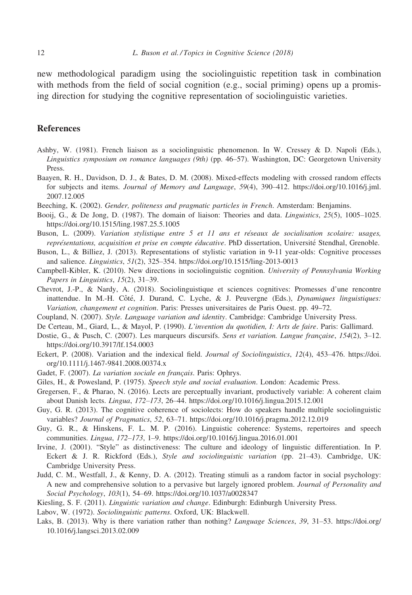new methodological paradigm using the sociolinguistic repetition task in combination with methods from the field of social cognition (e.g., social priming) opens up a promising direction for studying the cognitive representation of sociolinguistic varieties.

#### References

- Ashby, W. (1981). French liaison as a sociolinguistic phenomenon. In W. Cressey & D. Napoli (Eds.), Linguistics symposium on romance languages (9th) (pp. 46–57). Washington, DC: Georgetown University Press.
- Baayen, R. H., Davidson, D. J., & Bates, D. M. (2008). Mixed-effects modeling with crossed random effects for subjects and items. Journal of Memory and Language, 59(4), 390–412. [https://doi.org/10.1016/j.jml.](https://doi.org/10.1016/j.jml.2007.12.005) [2007.12.005](https://doi.org/10.1016/j.jml.2007.12.005)
- Beeching, K. (2002). Gender, politeness and pragmatic particles in French. Amsterdam: Benjamins.
- Booij, G., & De Jong, D. (1987). The domain of liaison: Theories and data. Linguistics, 25(5), 1005–1025. <https://doi.org/10.1515/ling.1987.25.5.1005>
- Buson, L. (2009). Variation stylistique entre 5 et 11 ans et reseaux de socialisation scolaire: usages, représentations, acquisition et prise en compte éducative. PhD dissertation, Université Stendhal, Grenoble.
- Buson, L., & Billiez, J. (2013). Representations of stylistic variation in 9-11 year-olds: Cognitive processes and salience. Linguistics, 51(2), 325–354.<https://doi.org/10.1515/ling-2013-0013>
- Campbell-Kibler, K. (2010). New directions in sociolinguistic cognition. University of Pennsylvania Working Papers in Linguistics, 15(2), 31–39.
- Chevrot, J.-P., & Nardy, A. (2018). Sociolinguistique et sciences cognitives: Promesses d'une rencontre inattendue. In M.-H. Côté, J. Durand, C. Lyche, & J. Peuvergne (Eds.), Dynamiques linguistiques: Variation, changement et cognition. Paris: Presses universitaires de Paris Ouest. pp. 49–72.
- Coupland, N. (2007). Style. Language variation and identity. Cambridge: Cambridge University Press.
- De Certeau, M., Giard, L., & Mayol, P. (1990). L'invention du quotidien, I: Arts de faire. Paris: Gallimard.
- Dostie, G., & Pusch, C. (2007). Les marqueurs discursifs. Sens et variation. Langue française, 154(2), 3-12. <https://doi.org/10.3917/lf.154.0003>
- Eckert, P. (2008). Variation and the indexical field. Journal of Sociolinguistics, 12(4), 453–476. [https://doi.](https://doi.org/10.1111/j.1467-9841.2008.00374.x) [org/10.1111/j.1467-9841.2008.00374.x](https://doi.org/10.1111/j.1467-9841.2008.00374.x)
- Gadet, F. (2007). La variation sociale en français. Paris: Ophrys.
- Giles, H., & Powesland, P. (1975). Speech style and social evaluation. London: Academic Press.
- Gregersen, F., & Pharao, N. (2016). Lects are perceptually invariant, productively variable: A coherent claim about Danish lects. Lingua, 172–173, 26–44.<https://doi.org/10.1016/j.lingua.2015.12.001>
- Guy, G. R. (2013). The cognitive coherence of sociolects: How do speakers handle multiple sociolinguistic variables? Journal of Pragmatics, 52, 63–71.<https://doi.org/10.1016/j.pragma.2012.12.019>
- Guy, G. R., & Hinskens, F. L. M. P. (2016). Linguistic coherence: Systems, repertoires and speech communities. Lingua, 172–173, 1–9.<https://doi.org/10.1016/j.lingua.2016.01.001>
- Irvine, J. (2001). "Style" as distinctiveness: The culture and ideology of linguistic differentiation. In P. Eckert & J. R. Rickford (Eds.), Style and sociolinguistic variation (pp. 21–43). Cambridge, UK: Cambridge University Press.
- Judd, C. M., Westfall, J., & Kenny, D. A. (2012). Treating stimuli as a random factor in social psychology: A new and comprehensive solution to a pervasive but largely ignored problem. Journal of Personality and Social Psychology, 103(1), 54–69.<https://doi.org/10.1037/a0028347>
- Kiesling, S. F. (2011). Linguistic variation and change. Edinburgh: Edinburgh University Press.
- Labov, W. (1972). Sociolinguistic patterns. Oxford, UK: Blackwell.
- Laks, B. (2013). Why is there variation rather than nothing? Language Sciences, 39, 31–53. [https://doi.org/](https://doi.org/10.1016/j.langsci.2013.02.009) [10.1016/j.langsci.2013.02.009](https://doi.org/10.1016/j.langsci.2013.02.009)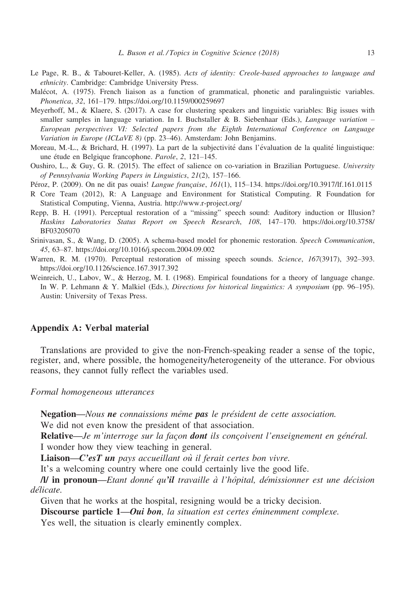- Le Page, R. B., & Tabouret-Keller, A. (1985). Acts of identity: Creole-based approaches to language and ethnicity. Cambridge: Cambridge University Press.
- Malecot, A. (1975). French liaison as a function of grammatical, phonetic and paralinguistic variables. Phonetica, 32, 161–179.<https://doi.org/10.1159/000259697>
- Meyerhoff, M., & Klaere, S. (2017). A case for clustering speakers and linguistic variables: Big issues with smaller samples in language variation. In I. Buchstaller & B. Siebenhaar (Eds.), Language variation – European perspectives VI: Selected papers from the Eighth International Conference on Language Variation in Europe (ICLaVE 8) (pp. 23–46). Amsterdam: John Benjamins.
- Moreau, M.-L., & Brichard, H. (1997). La part de la subjectivite dans l'evaluation de la qualite linguistique: une étude en Belgique francophone. Parole, 2, 121-145.
- Oushiro, L., & Guy, G. R. (2015). The effect of salience on co-variation in Brazilian Portuguese. University of Pennsylvania Working Papers in Linguistics, 21(2), 157–166.
- Peroz, P. (2009). On ne dit pas ouais! Langue francaise, 161(1), 115–134.<https://doi.org/10.3917/lf.161.0115>
- R Core Team (2012), R: A Language and Environment for Statistical Computing. R Foundation for Statistical Computing, Vienna, Austria.<http://www.r-project.org/>
- Repp, B. H. (1991). Perceptual restoration of a "missing" speech sound: Auditory induction or Illusion? Haskins Laboratories Status Report on Speech Research, 108, 147–170. [https://doi.org/10.3758/](https://doi.org/10.3758/BF03205070) [BF03205070](https://doi.org/10.3758/BF03205070)
- Srinivasan, S., & Wang, D. (2005). A schema-based model for phonemic restoration. Speech Communication, 45, 63–87.<https://doi.org/10.1016/j.specom.2004.09.002>
- Warren, R. M. (1970). Perceptual restoration of missing speech sounds. Science, 167(3917), 392–393. <https://doi.org/10.1126/science.167.3917.392>
- Weinreich, U., Labov, W., & Herzog, M. I. (1968). Empirical foundations for a theory of language change. In W. P. Lehmann & Y. Malkiel (Eds.), Directions for historical linguistics: A symposium (pp. 96–195). Austin: University of Texas Press.

## Appendix A: Verbal material

Translations are provided to give the non-French-speaking reader a sense of the topic, register, and, where possible, the homogeneity/heterogeneity of the utterance. For obvious reasons, they cannot fully reflect the variables used.

#### Formal homogeneous utterances

Negation—Nous ne connaissions même pas le président de cette association. We did not even know the president of that association.

Relative—Je m'interroge sur la façon **dont** ils conçoivent l'enseignement en général. I wonder how they view teaching in general.

**Liaison—C'esT un** pays accueillant où il ferait certes bon vivre.

It's a welcoming country where one could certainly live the good life.

 $\Lambda$  in pronoun—Etant donné qu'il travaille à l'hôpital, démissionner est une décision delicate.

Given that he works at the hospital, resigning would be a tricky decision. Discourse particle 1—Oui bon, la situation est certes éminemment complexe. Yes well, the situation is clearly eminently complex.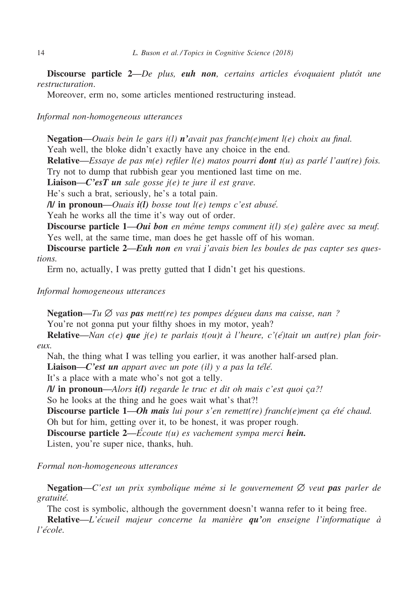Discourse particle 2—De plus, euh non, certains articles évoquaient plutôt une restructuration.

Moreover, erm no, some articles mentioned restructuring instead.

Informal non-homogeneous utterances

**Negation**—Ouais bein le gars i(l) **n'**avait pas franch(e)ment  $l(e)$  choix au final. Yeah well, the bloke didn't exactly have any choice in the end.

**Relative—Essaye** de pas  $m(e)$  refiler  $l(e)$  matos pourri **dont**  $t(u)$  as parlé l'aut(re) fois. Try not to dump that rubbish gear you mentioned last time on me.

**Liaison—C'esT un** sale gosse  $j(e)$  te jure il est grave.

He's such a brat, seriously, he's a total pain.

 $\Lambda$  in pronoun—Ouais i(l) bosse tout  $l(e)$  temps c'est abusé.

Yeah he works all the time it's way out of order.

**Discourse particle 1—Oui bon** en même temps comment  $i(l)$  s(e) galère avec sa meuf. Yes well, at the same time, man does he get hassle off of his woman.

Discourse particle 2—Euh non en vrai j'avais bien les boules de pas capter ses questions.

Erm no, actually, I was pretty gutted that I didn't get his questions.

Informal homogeneous utterances

Negation—Tu  $\emptyset$  vas pas mett(re) tes pompes dégueu dans ma caisse, nan ? You're not gonna put your filthy shoes in my motor, yeah?

Relative—Nan  $c(e)$  que j $(e)$  te parlais t(ou)t à l'heure,  $c'(\acute{e})$ tait un aut(re) plan foireux.

Nah, the thing what I was telling you earlier, it was another half-arsed plan.

Liaison—C'est un appart avec un pote  $(il)$  y a pas la télé.

It's a place with a mate who's not got a telly.

 $\Lambda$  in pronoun—Alors i(l) regarde le truc et dit oh mais c'est quoi ça?!

So he looks at the thing and he goes wait what's that?!

**Discourse particle 1—Oh mais** lui pour s'en remett(re) franch(e)ment ça été chaud.

Oh but for him, getting over it, to be honest, it was proper rough.

**Discourse particle 2—**Ecoute  $t(u)$  es vachement sympa merci **hein.** 

Listen, you're super nice, thanks, huh.

#### Formal non-homogeneous utterances

**Negation—C'est un prix symbolique même si le gouvernement**  $\varnothing$  **veut pas parler de** gratuité.

The cost is symbolic, although the government doesn't wanna refer to it being free.

**Relative—L'**écueil majeur concerne la manière  $qu'$ on enseigne l'informatique à l'ecole.